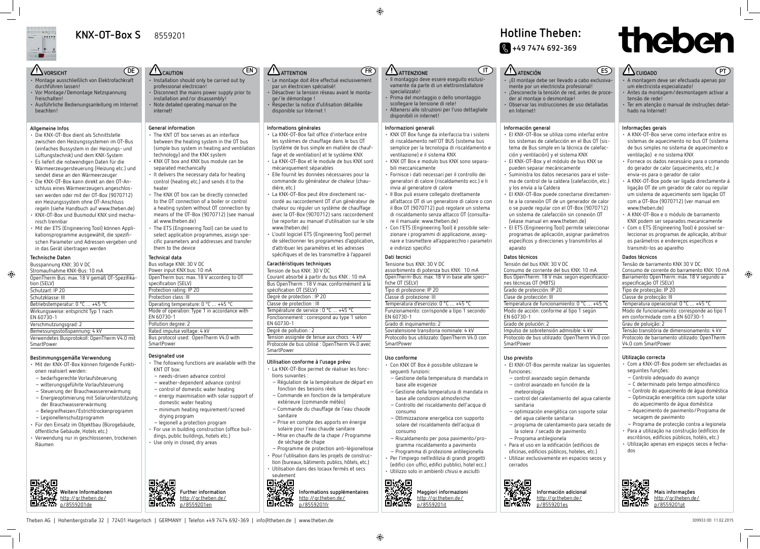# **Hotline Theben: J +49 7474 692-369**

# **IT ATENCIÓN**

# **VORSICHT**

- Montage ausschließlich von Elektrofachkraft durchführen lassen! • Vor Montage/Demontage Netzspannung
- freischalten!
- Ausführliche Bedienungsanleitung im Internet beachten!

#### **Allgemeine Infos**

Busspannung KNX: 30 V DC Stromaufnahme KNX-Bus: 10 mA OpenTherm Bus: max. 18 V gemäß OT-Spezifikation (SELV) Schutzart: IP 20 Schutzklasse: III Betriebstemperatur: 0 °C … +45 °C Wirkungsweise: entspricht Typ 1 nach EN 60730-1 Verschmutzungsgrad: 2 Bemessungsstoßspannung: 4 kV Verwendetes Busprotokoll: OpenTherm V4.0 mit **SmartPower** 

- Die KNX-OT-Box dient als Schnittstelle zwischen den Heizungssystemen im OT-Bus (einfaches Bussystem in der Heizungs- und Lüftungstechnik) und dem KNX-System
- Es liefert die notwendigen Daten für die Wärmeerzeugersteuerung (Heizung etc.) und sendet diese an den Wärmeerzeuger
- Die KNX-OT-Box kann direkt an den OT-Anschluss eines Wärmeerzeugers angeschlossen werden oder mit der OT-Box (9070712) ein Heizungssystem ohne OT-Anschluss
- regeln (siehe Handbuch auf www.theben.de) • KNX-OT-Box und Busmodul KNX sind mechanisch trennbar
- Mit der ETS (Engineering Tool) können Applikationsprogramme ausgewählt, die spezifischen Parameter und Adressen vergeben und in das Gerät übertragen werden

#### **Technische Daten**

 $\bigoplus$ 

#### **Bestimmungsgemäße Verwendung**

- Mit der KNX-OT-Box können folgende Funktionen realisiert werden:
- bedarfsgerechte Vorlaufsteuerung
- witterungsgeführte Vorlaufsteuerung
- Steuerung der Brauchwassererwärmung
- Energieoptimierung mit Solarunterstützung der Brauchwassererwärmung – Belegreifheizen/Estrichtrockenprogramm
- Legionellenschutzprogramm
- Für den Einsatz im Objektbau (Bürogebäude,
- öffentliche Gebäude, Hotels etc.) • Verwendung nur in geschlossenen, trockenen
- Räumen
- $\cdot$  The following functions are available with  $t$ KNT OT box:
- needs-driven advance control
- weather-dependent advance control – control of domestic water heating
- $-$  energy maximisation with solar support
- domestic water heating – minimum heating requirement/screed
- drying program – legionell a protection program
- For use in building construction (office buildings, public buildings, hotels etc.)
- Use only in closed, dry areas

**DE CAUTION**



| $\sum$ CAUTION                               |
|----------------------------------------------|
| . Installation should only be carried out by |
| professional electrician!                    |

- Disconnect the mains power supply prior to installation and/or disassembly!
- Note detailed operating manual on the internet!

#### **General information**

- The KNT OT box serves as an interface between the heating system in the OT bus (simple bus system in heating and ventilation technology) and the KNX system
- KNX OT box and KNX bus module can be separated mechanically
- It delivers the necessary data for heating control (heating etc.) and sends it to the heater
- The KNX OT box can be directly connected to the OT connection of a boiler or control a heating system without OT connection by means of the OT-Box (9070712) (see manu at www.theben.de)
- The ETS (Engineering Tool) can be used to select application programmes, assign specific parameters and addresses and transfer them to the device

#### **Technical data**

| Bus voltage KNX: 30 V DC                     |  |  |
|----------------------------------------------|--|--|
| Power input KNX bus: 10 mA                   |  |  |
| OpenTherm bus: max. 18 V according to OT     |  |  |
| specification (SELV)                         |  |  |
| Protection rating: IP 20                     |  |  |
| Protection class: III                        |  |  |
| Operating temperature: $0 °C  +45 °C$        |  |  |
| Mode of operation: Type 1 in accordance with |  |  |
| EN 60730-1                                   |  |  |
| Pollution degree: 2                          |  |  |
| Rated impulse voltage: 4 kV                  |  |  |
| Bus protocol used: OpenTherm V4.0 with       |  |  |
| SmartPower                                   |  |  |

#### **Designated use**

| EN)                                | FR<br><b>1 ATTENTION</b>                                                                                                                                                                                                                                                                                                                                                                                       | IT<br><b>ATTENZIONE</b>                                                                                                                                                                                                                                                                                                                                                                                              |
|------------------------------------|----------------------------------------------------------------------------------------------------------------------------------------------------------------------------------------------------------------------------------------------------------------------------------------------------------------------------------------------------------------------------------------------------------------|----------------------------------------------------------------------------------------------------------------------------------------------------------------------------------------------------------------------------------------------------------------------------------------------------------------------------------------------------------------------------------------------------------------------|
| to                                 | · Le montage doit être effectué exclusivement<br>par un électricien spécialisé!<br>· Désactiver la tension réseau avant le monta-<br>qe/le démontage !<br>· Respecter la notice d'utilisation détaillée<br>disponible sur Internet !                                                                                                                                                                           | · Il montaggio deve essere eseguito esclusi-<br>vamente da parte di un elettroinstallatore<br>specializzato!<br>· Prima del montaggio o dello smontaggio<br>scollegare la tensione di rete!<br>· Attenersi alle istruzioni per l'uso dettagliate<br>disponibili in internet!                                                                                                                                         |
| S<br>ition                         | Informations générales<br>• La KNX-OT-Box fait office d'interface entre<br>les systèmes de chauffage dans le bus OT<br>(système de bus simple en matière de chauf-<br>fage et de ventilation) et le système KNX<br>· La KNX-OT-Box et le module de bus KNX sont<br>mécaniquement séparables<br>· Elle fournit les données nécessaires pour la<br>commande du générateur de chaleur (chau-<br>dière, etc.)      | Informazioni generali<br>· KNX OT Box funge da interfaccia tra i sistemi<br>di riscaldamento nell'OT BUS (sistema bus<br>semplice per la tecnologia di riscaldamento e<br>ventilazione) e il sistema KNX<br>· KNX OT Box e modulo bus KNX sono separa-<br>bili meccanicamente<br>· Fornisce i dati necessari per il controllo dei<br>generatori di calore (riscaldamento ecc.) e li<br>invia al generatore di calore |
| JУ<br>nual<br>e-<br>fer            | · La KNX-OT-Box peut être directement rac-<br>cordé au raccordement OT d'un générateur de<br>chaleur ou réguler un système de chauffage<br>avec la OT-Box (9070712) sans raccordement<br>(se reporter au manuel d'utilisation sur le site<br>www.theben.de)<br>• L'outil logiciel ETS (Engineering Tool) permet<br>de sélectionner les programmes d'application,<br>d'attribuer les paramètres et les adresses | · Il Box può essere collegato direttamente<br>all'attacco OT di un generatore di calore o cor<br>il Box OT (9070712) può regolare un sistema<br>di riscaldamento senza attacco OT (consulta-<br>re il manuale: www.theben.de)<br>· Con l'ETS (Engineering Tool) è possibile sele-<br>zionare i programmi di applicazione, asseg-<br>nare e trasmettere all'apparecchio i parametr<br>e indirizzi specifici           |
|                                    | spécifiques et de les transmettre à l'appareil                                                                                                                                                                                                                                                                                                                                                                 | Dati tecnici                                                                                                                                                                                                                                                                                                                                                                                                         |
|                                    | Caractéristiques techniques<br>Tension de bus KNX: 30 V DC<br>Courant absorbé à partir du bus KNX : 10 mA<br>Bus OpenTherm : 18 V max. conformément à la<br>spécification OT (SELV)<br>Degré de protection : IP 20                                                                                                                                                                                             | Tensione bus KNX: 30 V DC<br>assorbimento di potenza bus KNX: 10 mA<br>OpenTherm-Bus: max. 18 V in base alle speci-<br>fiche OT (SELV)<br>Tipo di protezione: IP 20<br>Classe di protezione: III                                                                                                                                                                                                                     |
| $\overline{\overline{\mathsf{h}}}$ | Classe de protection : III<br>Température de service : 0 °C  +45 °C<br>Fonctionnement : correspond au type 1 selon                                                                                                                                                                                                                                                                                             | Temperatura d'esercizio: 0 °C  +45 °C<br>Funzionamento: corrisponde a tipo 1 secondo<br>EN 60730-1                                                                                                                                                                                                                                                                                                                   |
|                                    | EN 60730-1<br>Degré de pollution : 2<br>Tension assignée de tenue aux chocs : 4 kV<br>Protocole de bus utilisé : OpenTherm V4.0 avec<br>SmartPower                                                                                                                                                                                                                                                             | Grado di inquinamento: 2<br>Sovratensione transitoria nominale: 4 kV<br>Protocollo bus utilizzato: OpenTherm V4.0 con<br>SmartPower                                                                                                                                                                                                                                                                                  |
| ı the                              | Utilisation conforme à l'usage prévu<br>· La KNX-OT-Box permet de réaliser les fonc-<br>tions suivantes :<br>- Régulation de la température de départ en                                                                                                                                                                                                                                                       | Uso conforme<br>· Con KNX OT Box è possibile utilizzare le<br>seguenti funzioni:<br>- Gestione della temperatura di mandata in                                                                                                                                                                                                                                                                                       |
| t of                               | fonction des besoins réels<br>- Commande en fonction de la température<br>extérieure (commande météo)<br>- Commande du chauffage de l'eau chaude                                                                                                                                                                                                                                                               | base alle esigenze<br>- Gestione della temperatura di mandata in<br>base alle condizioni atmosferiche<br>- Controllo del riscaldamento dell'acqua di<br>consumo                                                                                                                                                                                                                                                      |
| ıil-                               | sanitaire<br>- Prise en compte des apports en énergie<br>solaire pour l'eau chaude sanitaire<br>- Mise en chauffe de la chape / Programme<br>de séchage de chape<br>- Programme de protection anti-légionellose                                                                                                                                                                                                | - Ottimizzazione energetica con supporto<br>solare del riscaldamento dell'acqua di<br>consumo<br>- Riscaldamento per posa pavimento/pro-<br>gramma riscaldamento a pavimento                                                                                                                                                                                                                                         |

⊕

- 
- 
- KNX OT Box funge da interfaccia tra i sistemi di riscaldamento nell'OT BUS (sistema bus semplice per la tecnologia di riscaldamento e
- generatori di calore (riscaldamento ecc.) e li
- all'attacco OT di un generatore di calore o con il Box OT (9070712) può regolare un sistema di riscaldamento senza attacco OT (consulta-
- Con l'ETS (Engineering Tool) è possibile selezionare i programmi di applicazione, assegnare e trasmettere all'apparecchio i parametri

- Gestione della temperatura di mandata in
- Gestione della temperatura di mandata in
- Controllo del riscaldamento dell'acqua di
- Ottimizzazione energetica con supporto
- 
- Programma di protezione antilegionella • Per l'impiego nell'edilizia di grandi progetti
- (edifici con uffici, edifici pubblici, hotel ecc.)
- Utilizzo solo in ambienti chiusi e asciutti



- ¡El montaje debe ser llevado a cabo exclusivamente por un electricista profesional! • ¡Desconecte la tensión de red, antes de proce-
- der al montaje o desmontaje! • Observar las instrucciones de uso detalladas
	-

en Internet!

### **Información general**

- El KNX-OT-Box se utiliza como interfaz entre los sistemas de calefacción en el Bus OT (sistema de Bus simple en la técnica de calefacción y ventilación) y el sistema KNX
- El KNX-OT-Box y el módulo de bus KNX se pueden separar mecánicamente
- Suministra los datos necesarios para el sistema de control de la caldera (calefacción, etc.) y los envía a la Caldera
- El KNX-OT-Box puede conectarse directamente a la conexión OT de un generador de calor o se puede regular con el OT-Box (9070712) un sistema de calefacción sin conexión OT (véase manual en www.theben.de)
- El ETS (Engineering Tool) permite seleccionar programas de aplicación, asignar parámetros específicos y direcciones y transmitirlos al

- Programme de protection anti-légionellose • Pour l'utilisation dans les projets de construc-
- tion (bureaux, bâtiments publics, hôtels, etc.) • Utilisation dans des locaux fermés et secs
- seulement<br>**District**<br>Sexter Word<br>Sexter Word **Informations supplémentaires**

aparato **Datos técnicos**

Tensión del bus KNX: 30 V DC

- Consumo de corriente del bus KNX: 10 mA
- Bus OpenTherm: 18 V máx. según especificacio-
- nes técnicas OT (MBTS)
- Grado de protección: IP 20
- Clase de protección: III
- Temperatura de funcionamiento: 0 °C … +45 °C Modo de acción: conforme al tipo 1 según

EN 60730-1

**SmartPower** 

Grado de polución: 2

Impulso de sobretensión admisible: 4 kV Protocolo de bus utilizado: OpenTherm V4.0 con

**Uso previsto**

• El KNX-OT-Box permite realizar las siguientes

funciones:

meteorología

sanitaria

- control avanzado según demanda – control avanzado en función de la
- control del calentamiento del agua caliente
- optimización energética con soporte solar del agua caliente sanitaria
- programa de calentamiento para secado de la solera / secado de pavimento
- Programa antilegionela
- Para el uso en la edificación (edificios de
- oficinas, edificios públicos, hoteles, etc.)
- Utilizar exclusivamente en espacios secos y

cerrados

Theben AG | Hohenbergstraße 32 | 72401 Haigerloch | GERMANY | Telefon +49 7474 692-369 | info@theben.de | www.theben.de

• A montagem deve ser efectuada apenas por um electricista especializado!

- Antes da montagem/desmontagem activar a tensão de rede!
- Ter em atenção o manual de instruções detalhado na Internet!

#### **Informações gerais**

- A KNX-OT-Box serve como interface entre os sistemas de aquecimento no bus OT (sistema de bus simples no sistema de aquecimento e ventilação) e no sistema KNX
- Fornece os dados necessário para o comando do gerador de calor (aquecimento, etc.) e envia-os para o gerador de calor
- A KNX-OT-Box pode ser ligada directamente à ligação OT de um gerador de calor ou regular um sistema de aquecimento sem ligação OT com a OT-Box (9070712) (ver manual em www.theben.de)
- A KNX-OT-Box e o módulo de barramento KNX podem ser separados mecanicamente
- Com o ETS (Engineering Tool) é possível seleccionar os programas de aplicação, atribuir os parâmetros e endereços específicos e transmiti-los ao aparelho

#### **Dados técnicos**

Tensão de barramento KNX 30 V DC Consumo de corrente do barramento KNX: 10 mA Barramento OpenTherm: máx. 18 V segundo a especificação OT (SELV)

Tipo de protecção: IP 20 Classe de protecção: III

Temperatura operacional: 0 °C … +45 °C Modo de funcionamento: corresponde ao tipo 1 em conformidade com a EN 60730-1

Grau de poluição: 2

Tensão transitória de dimensionamento: 4 kV Protocolo de barramento utilizado: OpenTherm V4.0 com SmartPower

### **Utilização correcta**

- Com a KNX-OT-Box podem ser efectuadas as seguintes funções:
- Controlo adequado do avanço
- C determinado pelo tempo atmosférico
- Controlo do aquecimento de água doméstica
- Optimização energética com suporte solar do aquecimento de água doméstica
- Aquecimento de pavimento/Programa de secagem de pavimento
- Programa de protecção contra a legionela • Para a utilização na construção (edifícios de
- escritórios, edifícios públicos, hotéis, etc.) • Utilização apenas em espaços secos e fechados

**PT**



**Further information**



p/8559201en

http://qr.theben.de/ p/8559201fr

**Maggiori informazioni** http://qr.theben.de/ p/8559201it

**Información adicional** http://gr.theben.de/ p/8559201es

# theben

## **ES** *IN* CUIDADO

**Mais informações** http://gr.theben.de/ p/8559201pt

# **KNX-OT-Box S** 8559201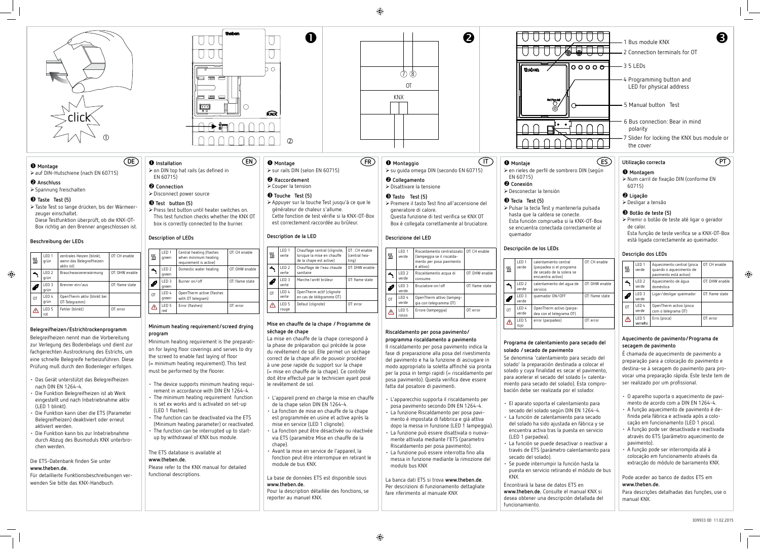¾en rieles de perfil de sombrero DIN (según

¾Pulsar la tecla Test y mantenerla pulsada hasta que la caldera se conecte. Esta función comprueba si la KNX-OT-Box se encuentra conectada correctamente al

| amiento central<br>idea si el programa<br>ado de la solera se<br>ntra activo) | OT: CH enable   |
|-------------------------------------------------------------------------------|-----------------|
| amiento del agua de<br>0                                                      | OT: DHW enable  |
| ador ON/OFF                                                                   | OT: flame state |
| 'herm activo (parpa-<br>nn el telegrama OT)                                   |                 |
| parpadeo)                                                                     | OT: error       |

# **Programa de calentamiento para secado del**

Se denomina 'calentamiento para secado del solado' la preparación destinada a colocar el solado y cuya finalidad es secar el pavimento, para acelerar el secado del solado (= calentamiento para secado del solado). Esta comprobación debe ser realizada por el solador.

• El aparato soporta el calentamiento para secado del solado según DIN EN 1264-4. • La función de calentamiento para secado del solado ha sido ajustada en fábrica y se encuentra activa tras la puesta en servicio

• La función se puede desactivar o reactivar a través de ETS (parámetro calentamiento para

• Se puede interrumpir la función hasta la puesta en servicio retirando el módulo de bus

Encontrará la base de datos ETS en **www.theben.de.** Consulte el manual KNX si desea obtener una descripción detallada del

#### **Utilização correcta**

#### **Montagem**

¾Num carril de fixação DIN (conforme EN 60715)

#### **Ligação**

¾Desligar a tensão

## **Botão de teste (5)**

¾Premir o botão de teste até ligar o gerador de calor.

Esta função de teste verifica se a KNX-OT-Box está ligada correctamente ao queimador.

## **Descrição dos LEDs**

| $\frac{\sqrt{2}}{2}$ | LED <sub>1</sub><br>verde    | Aquecimento central (pisca<br>quando o aquecimento de<br>pavimento está activo) | OT: CH enable   |
|----------------------|------------------------------|---------------------------------------------------------------------------------|-----------------|
|                      | LED <sub>2</sub><br>verde    | Aquecimento de áqua<br>doméstica                                                | OT: DHW enable  |
| Ø                    | LED <sub>3</sub><br>verde    | Ligar/desligar queimador                                                        | OT: flame state |
| <b>OT</b>            | LED <sub>4</sub><br>verde    | OpenTherm activo (pisca<br>com o telegrama OT)                                  |                 |
|                      | LED <sub>5</sub><br>vermelho | Erro (pisca)                                                                    | OT: error       |

#### **Aquecimento de pavimento/Programa de secagem de pavimento**

◈



É chamada de aquecimento de pavimento a preparação para a colocação do pavimento e destina-se à secagem do pavimento para provocar uma preparação rápida. Este teste tem de ser realizado por um profissional.

- O aparelho suporta o aquecimento de pavimento de acordo com a DIN EN 1264-4.
- A função aquecimento de pavimento é definida pela fábrica e activada após a colocação em funcionamento (LED 1 pisca).
- A função pode ser desactivada e reactivada através do ETS (parâmetro aquecimento de pavimento).
- A função pode ser interrompida até à colocação em funcionamento através da extracção do módulo de barramento KNX.

#### Pode aceder ao banco de dados ETS em **www.theben.de.**

Para descrições detalhadas das funções, use o manual KNX.



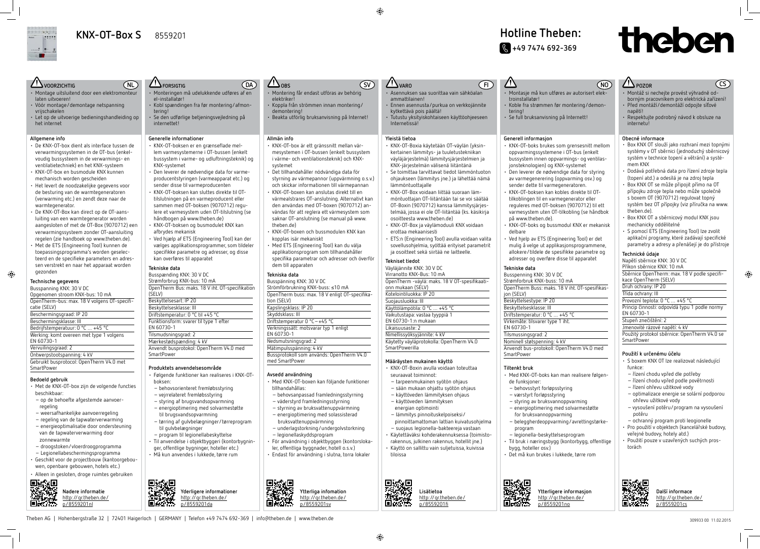# **VOORZICHTIG**

- Montage uitsluitend door een elektromonteur laten uitvoeren!
- Vóór montage/demontage netspanning vrijschakelen
- Let op de uitvoerige bedieningshandleiding op het internet

#### **Allgemene info**

Busspanning KNX: 30 V DC Opgenomen stroom KNX-bus: 10 mA OpenTherm-bus: max. 18 V volgens OT-specificatie (SELV) Beschermingsgraad: IP 20 Beschermingsklasse: III Bedrijfstemperatuur: 0 °C … +45 °C Werking: komt overeen met type 1 volgens EN 60730-1 Vervuilingsgraad: 2 Ontwerpstootspanning: 4 kV Gebruikt busprotocol: OpenTherm V4.0 met **SmartPower** 

- De KNX-OT-box dient als interface tussen de verwarmingssystemen in de OT-bus (enkelvoudig bussysteem in de verwarmings- en ventilatietechniek) en het KNX-systeem • KNX-OT-box en busmodule KNX kunnen
- mechanisch worden gescheiden
- Het levert de noodzakelijke gegevens voor de besturing van de warmtegeneratoren (verwarming etc.) en zendt deze naar de warmtegenerator.
- De KNX-OT-Box kan direct op de OT-aansluiting van een warmtegenerator worden aangesloten of met de OT-Box (9070712) een verwarmingssysteem zonder OT-aansluiting regelen (zie handboek op www.theben.de).
- Met de ETS (Engineering Tool) kunnen de toepassingsprogramma's worden geselecteerd en de specifieke parameters en adressen verstrekt en naar het apparaat worden gezonden

 $\bigoplus$ 

#### **Technische gegevens**

#### **Bedoeld gebruik**

- Met de KNX-OT-box zijn de volgende functies beschikbaar:
- op de behoefte afgestemde aanvoer regeling
- weersafhankelijke aanvoerregeling
- regeling van de tapwaterverwarming – energieoptimalisatie door ondersteuning van de tapwaterverwarming door
- zonnewarmte
- droogstoken/vloerdroogprogramma
- Legionellabeschermingsprogramma
- Geschikt voor de projectbouw (kantoorgebouwen, openbare gebouwen, hotels etc.)
- Alleen in gesloten, droge ruimtes gebruiken



el-installatør! • Kobl spændingen fra før montering/afmontering!

e udføres af en

 $\overline{DA}$   $\overline{D}$ <sub>0BS</sub>

• Se den udførlige betjeningsvejledning på internettet!

#### **Generelle informationer**

- KNX-OT-boksen er en grænseflade mellem varmesystemerne i OT-bussen (enkelt bussystem i varme- og udluftningsteknik) og KNX-systemet
- Den leverer de nødvendige data for varmeproducentstyringen (varmeapparat etc.) og sender disse til varmeproducenten
- KNX-OT-boksen kan sluttes direkte til OTtilslutningen på en varmeproducent eller sammen med OT-boksen (9070712) regulere et varmesystem uden OT-tilslutning (se
- håndbogen på www.theben.de) • KNX-OT-boksen og busmodulet KNX kan afbrydes mekanisk
- Ved hjælp af ETS (Engineering Tool) kan der vælges applikationsprogrammer, som tildeler specifikke parametre og adresser, og disse kan overføres til apparatet
- **SV** *SV* • Asennuksen saa suorittaa vain sähköalan ammattilainen! • Ennen asennusta/purkua on verkkojännite **FI**
	- kytkettävä pois päältä! • Tutustu yksityiskohtaiseen käyttöohjeeseen

#### **Tekniske data**

Busspænding KNX: 30 V DC Strømforbrug KNX-bus: 10 mA OpenTherm Bus: maks. 18 V iht. OT-specifikation

| OpenTherm Bos. moks. To V mt. Of Specifikation<br>(SELV) |
|----------------------------------------------------------|
| Beskyttelsesart: IP 20                                   |
| Beskyttelsesklasse: III                                  |
| Driftstemperatur: 0 °C til +45 °C                        |
| Funktionsform: svarer til type 1 efter<br>EN 60730-1     |
| Tilsmudsningsgrad: 2                                     |
| Mærkestødspænding: 4 kV                                  |
| Anvendt busprotokol: OpenTherm V4.0 med                  |

SmartPower

## **Produktets anvendelsesområde**

• Montering får endast utföras av behörig

elektriker!

• Koppla från strömmen innan montering/

demontering!

• Beakta utförlig bruksanvisning på Internet!

**Allmän info**

• KNX-OT-box är ett gränssnitt mellan värmesystemen i OT-bussen (enkelt bussystem i värme- och ventilationsteknik) och KNX-

systemet

• Det tillhandahåller nödvändiga data för styrning av värmepannor (uppvärmning o.s.v.) och skickar informationen till värmepannan

> Beskyttelsesklasse: III Driftstemperatur: 0 °C … +45 °C

- KNX-OT-boxen kan anslutas direkt till en värmealstrares OT-anslutning. Alternativt kan den användas med OT-boxen (9070712) användas för att reglera ett värmesystem som saknar OT-anslutning (se manual på www.
- theben.de) • KNX-OT-boxen och bussmodulen KNX kan kopplas isär mekaniskt

• Med ETS (Engineering Tool) kan du välja applikationsprogram som tillhandahåller specifika parametrar och adresser och överför dem till apparaten

## **Tekniska data**

| Busspänning KNX: 30 V DC<br>Strömförbrukning KNX-buss: ≤10 mA |
|---------------------------------------------------------------|
| OpenTherm buss: max. 18 V enligt OT-specifika-<br>tion (SELV) |
| Kapslingsklass: IP 20                                         |
| Skyddsklass: III                                              |
| Driftstemperatur 0 °C-+45 °C                                  |
| Verkningssätt: motsvarar typ 1 enligt<br>EN 60730-1           |
| Nedsmutsningsgrad: 2                                          |
| Mätimpulsspänning: 4 kV                                       |
| Bussprotokoll som används: OpenTherm V4.0<br>med SmartPower   |

#### **Avsedd användning**

# Internetissä!

#### **Yleistä tietoa**

⊕

- KNX-OT-Boxia käytetään OT-väylän (yksinkertainen lämmitys- ja tuuletustekniikan väyläjärjestelmä) lämmitysjärjestelmien ja KNX-järjestelmän välisenä liitäntänä
- Se toimittaa tarvittavat tiedot lämmöntuoton ohjaukseen (lämmitys jne.) ja lähettää nämä lämmöntuottajalle
- KNX-OT-Box voidaan liittää suoraan lämmöntuottajan OT-liitäntään tai se voi säätää OT-Boxin (9070712) kanssa lämmitysjärjestelmää, jossa ei ole OT-liitäntää (ks. käsikirja osoitteesta www.theben.de)
- KNX-OT-Box ja väylämoduuli KNX voidaan erottaa mekaanisesti
- ETS:n (Engineering Tool) avulla voidaan valita sovellusohjelmia, syöttää erityiset parametrit ja osoitteet sekä siirtää ne laitteelle.

### **Tekniset tiedot**

| Väyläjännite KNX: 30 V DC                      |  |  |
|------------------------------------------------|--|--|
| Virranotto KNX-Bus: 10 mA                      |  |  |
| OpenTherm - väylä: maks. 18 V OT-spesifikaati- |  |  |
| onn mukaan (SELV)                              |  |  |
| Kotelointiluokka: IP 20                        |  |  |
| Suojausluokka: III                             |  |  |
| Käyttölämpötila: 0 °C  +45 °C                  |  |  |
| Vaikutustapa: vastaa tyyppiä 1                 |  |  |
| EN 60730-1:n mukaan                            |  |  |
| Likaisuusaste: 2                               |  |  |
| Nimellissyöksyjännite: 4 kV                    |  |  |
| Käytetty väyläprotokolla: OpenTherm V4.0       |  |  |
| SmartPowerilla                                 |  |  |
|                                                |  |  |
| Määräysten mukainen käyttö                     |  |  |

#### • KNX-OT-Boxin avulla voidaan toteuttaa seuraavat toiminnot:

- 
- tarpeenmukainen syötön ohjaus – sään mukaan ohjattu syötön ohjaus
- käyttöveden lämmityksen ohjaus
- käyttöveden lämmityksen
- energian optimointi
- lämmitys pinnoituskelpoiseksi/
- pinnoittamattoman lattian kuivatusohjelma – suojaus legionella-bakteereja vastaan
- Käytettäväksi kohderakennuksessa (toimistorakennus, julkinen rakennus, hotellit jne.)
- Käyttö on sallittu vain suljetuissa, kuivissa tiloissa



- Følgende funktioner kan realiseres i KNX-OTboksen:
- behovsorienteret fremløbsstyring – vejrrelateret fremløbsstyring
- styring af brugsvandsopvarmning
- energioptimering med solvarmestøtte til brugsvandsopvarmning
- tørring af gulvbelægninger/tørreprogram til gulvbelægninger
- program til legionellabeskyttelse • Til anvendelse i objektbyggeri (kontorbygninger, offentlige bygninger, hoteller etc.)
- Må kun anvendes i lukkede, tørre rum
	- **Yderligere informationer** http://qr.theben.de/ p/8559201da

troinstallatør!

- Montasje må kun utføres av autorisert elek-
- Koble fra strømmen før montering/demon-
- Se full bruksanvisning på Internett!

tering!

#### **Generell informasjon**

- KNX-OT-boks brukes som grensesnitt mellom oppvarmingssystemene i OT-bus (enkelt bussystem innen oppvarmings- og ventilasjonsteknologien) og KNX-systemet • Den leverer de nødvendige data for styring av varmegenerering (oppvarming osv.) og
- sender dette til varmegeneratoren. • KNX-OT-boksen kan kobles direkte til OTtilkoblingen til en varmegenerator eller reguleres med OT-boksen (9070712) til ett varmesystem uten OT-tilkobling (se håndbok på www.theben.de).
- KNX-OT-boks og bussmodul KNX er mekanisk
- Ved hjelp av ETS (Engineering Tool) er det mulig å velge ut applikasjonsprogrammene, allokere/tildele de spesifikke parametre og adresser og overføre disse til apparatet

delbare

- Med KNX-OT-boxen kan följande funktioner tillhandahållas:
- behovsanpassad framledningsstyrning
- väderstyrd framledningsstyrning
- styrning av bruksvattenuppvärmning – energioptimering med solassisterad bruksvattenuppvärmning
- underlagstorkning/undergolvstorkning – legionellaskyddsprogram
- För användning i objektbyggen (kontorslokaler, offentliga byggnader, hotell o.s.v.)
- Endast för användning i slutna, torra lokaler
	- **Ytterliga infomation** http://qr.theben.de/ p/8559201sv

**Tekniske data**

#### Busspenning KNX: 30 V DC Strømforbruk KNX-buss: 10 mA OpenTherm Buss: maks. 18 V iht. OT-spesifikas-

Beskyttelsestype: IP 20

jon (SELV)

Virkemåte: tilsvarer type 1 iht.

EN 60730-1

**SmartPower** 

Tilsmussingsgrad: 2

Nominell støtspenning: 4 kV Anvendt bus-protokoll: OpenTherm V4.0 med

**Tiltenkt bruk**

• Med KNX-OT-boks kan man realisere følgen-

de funksjoner:

- behovsstyrt forløpsstyring
- værstyrt forløpsstyring
- styring av bruksvannoppvarming
- energioptimering med solvarmestøtte
- for bruksvannoppvarming
- beleggherdeoppvarming/avrettingstørke-
- legionella-beskyttelsesprogram • Til bruk i næringsbygg (kontorbygg, offentlige bygg, hoteller osv.) • Det må kun brukes i lukkede, tørre rom

program

• Respektujte podrobný návod k obsluze na internetu!

#### **Obecné informace**

- Box KNX OT slouží jako rozhraní mezi topnými systémy v OT sběrnici (jednoduchý sběrnicový systém v technice topení a větrání) a systémem KNX
- Dodává potřebná data pro řízení zdroje tepla (topení atd.) a odesílá je na zdroj tepla
- Box KNX OT se může připojit přímo na OT přípojku zdroje tepla nebo může společně s boxem OT (9070712) regulovat topný systém bez OT přípojky (viz příručka na www. theben.de).
- Box KNX OT a sběrnicový modul KNX jsou mechanicky oddělitelné
- S pomocí ETS (Engineering Tool) lze zvolit aplikační programy, které zadávají specifické parametry a adresy a přenášejí je do přístroje

#### **Technické údaje**

| Napětí sběrnice KNX: 30 V DC<br>Příkon sběrnice KNX: 10 mA            |
|-----------------------------------------------------------------------|
| Sběrnice OpenTherm: max. 18 V podle specifi-<br>kace OpenTherm (SELV) |
| Druh ochrany: IP 20                                                   |
| Třída ochrany: III                                                    |
| Provozní teplota: 0 °C  +45 °C                                        |
| Princip činnosti: odpovídá typu 1 podle normy<br>EN 60730-1           |
| Stupeň znečištění: 2                                                  |
| Jmenovité rázové napětí: 4 kV                                         |
| Použitý protokol sběrnice: OpenTherm V4.0 se                          |
| SmartPower                                                            |

#### **Použití k určenému účelu**

- S boxem KNX OT lze realizovat následující funkce:
- řízení chodu vpřed dle potřeby
- řízení chodu vpřed podle povětrnosti
- řízení ohřevu užitkové vody
- optimalizace energie se solární podporou ohřevu užitkové vody
- vysoušení potěru/program na vysoušení potěru
- ochranný program proti leogionelle
- Pro použití v objektech (kancelářské budovy, veřejné budovy, hotely atd.)
- Použití pouze v uzavřených suchých prostorách



**CS**

Theben AG | Hohenbergstraße 32 | 72401 Haigerloch | GERMANY | Telefon +49 7474 692-369 | info@theben.de | www.theben.de

 $\bigoplus$ 

# **Hotline Theben: J +49 7474 692-369**

| Nadere informatie    |  |
|----------------------|--|
| http://gr.theben.de/ |  |
| p/8559201nl          |  |

| $\sum$ FORSIGTIG           |  |
|----------------------------|--|
| · Monteringen må udelukken |  |

**Lisätietoa** http://qr.theben.de/ p/8559201fi

**Ytterligere informasjon** http://gr.theben.de/ p/8559201no

# theben

# $\bigcirc$  **O** POZOR

- Montáž si nechejte provést výhradně odborným pracovníkem pro elektrická zařízení!
- Před montáží/demontáží odpojte síťové napětíl

**Další informace** http://qr.theben.de/ p/8559201cs

## **KNX-OT-Box S** 8559201

 $(NL)$